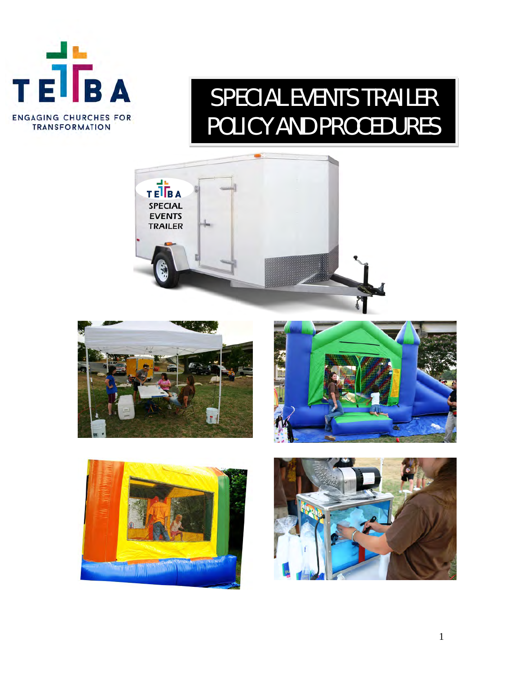

# SPECIAL EVENTS TRAILER POLICY AND PROCEDURES









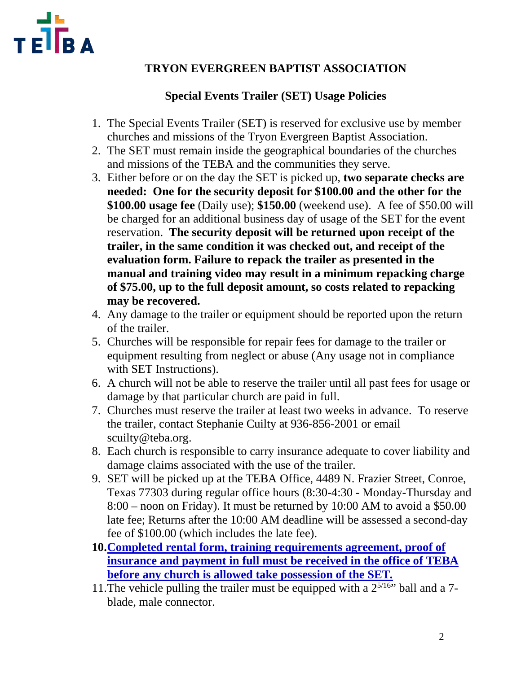

## **TRYON EVERGREEN BAPTIST ASSOCIATION**

## **Special Events Trailer (SET) Usage Policies**

- 1. The Special Events Trailer (SET) is reserved for exclusive use by member churches and missions of the Tryon Evergreen Baptist Association.
- 2. The SET must remain inside the geographical boundaries of the churches and missions of the TEBA and the communities they serve.
- 3. Either before or on the day the SET is picked up, **two separate checks are needed: One for the security deposit for \$100.00 and the other for the \$100.00 usage fee** (Daily use); **\$150.00** (weekend use). A fee of \$50.00 will be charged for an additional business day of usage of the SET for the event reservation. **The security deposit will be returned upon receipt of the trailer, in the same condition it was checked out, and receipt of the evaluation form. Failure to repack the trailer as presented in the manual and training video may result in a minimum repacking charge of \$75.00, up to the full deposit amount, so costs related to repacking may be recovered.**
- 4. Any damage to the trailer or equipment should be reported upon the return of the trailer.
- 5. Churches will be responsible for repair fees for damage to the trailer or equipment resulting from neglect or abuse (Any usage not in compliance with SET Instructions).
- 6. A church will not be able to reserve the trailer until all past fees for usage or damage by that particular church are paid in full.
- 7. Churches must reserve the trailer at least two weeks in advance. To reserve the trailer, contact Stephanie Cuilty at 936-856-2001 or email scuilty@teba.org.
- 8. Each church is responsible to carry insurance adequate to cover liability and damage claims associated with the use of the trailer.
- 9. SET will be picked up at the TEBA Office, 4489 N. Frazier Street, Conroe, Texas 77303 during regular office hours (8:30-4:30 - Monday-Thursday and 8:00 – noon on Friday). It must be returned by 10:00 AM to avoid a \$50.00 late fee; Returns after the 10:00 AM deadline will be assessed a second-day fee of \$100.00 (which includes the late fee).
- **10.Completed rental form, training requirements agreement, proof of insurance and payment in full must be received in the office of TEBA before any church is allowed take possession of the SET***.*
- 11. The vehicle pulling the trailer must be equipped with a  $2^{5/16}$  ball and a 7blade, male connector.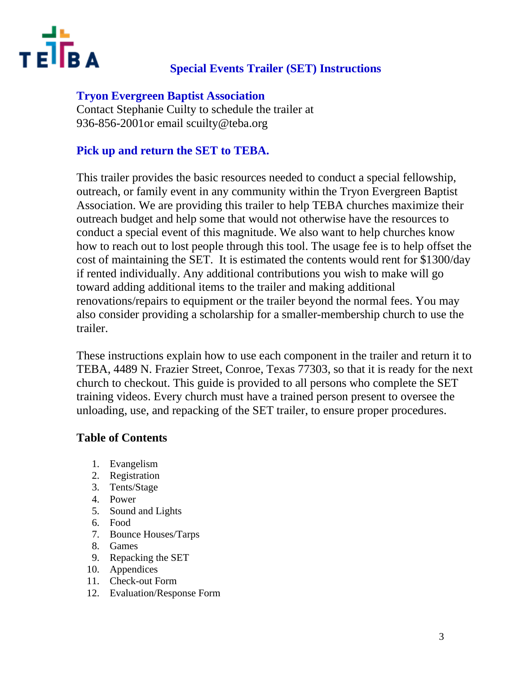

## **Special Events Trailer (SET) Instructions**

## **Tryon Evergreen Baptist Association**

Contact Stephanie Cuilty to schedule the trailer at 936-856-2001or email scuilty@teba.org

## **Pick up and return the SET to TEBA.**

This trailer provides the basic resources needed to conduct a special fellowship, outreach, or family event in any community within the Tryon Evergreen Baptist Association. We are providing this trailer to help TEBA churches maximize their outreach budget and help some that would not otherwise have the resources to conduct a special event of this magnitude. We also want to help churches know how to reach out to lost people through this tool. The usage fee is to help offset the cost of maintaining the SET. It is estimated the contents would rent for \$1300/day if rented individually. Any additional contributions you wish to make will go toward adding additional items to the trailer and making additional renovations/repairs to equipment or the trailer beyond the normal fees. You may also consider providing a scholarship for a smaller-membership church to use the trailer.

These instructions explain how to use each component in the trailer and return it to TEBA, 4489 N. Frazier Street, Conroe, Texas 77303, so that it is ready for the next church to checkout. This guide is provided to all persons who complete the SET training videos. Every church must have a trained person present to oversee the unloading, use, and repacking of the SET trailer, to ensure proper procedures.

## **Table of Contents**

- 1. Evangelism
- 2. Registration
- 3. Tents/Stage
- 4. Power
- 5. Sound and Lights
- 6. Food
- 7. Bounce Houses/Tarps
- 8. Games
- 9. Repacking the SET
- 10. Appendices
- 11. Check-out Form
- 12. Evaluation/Response Form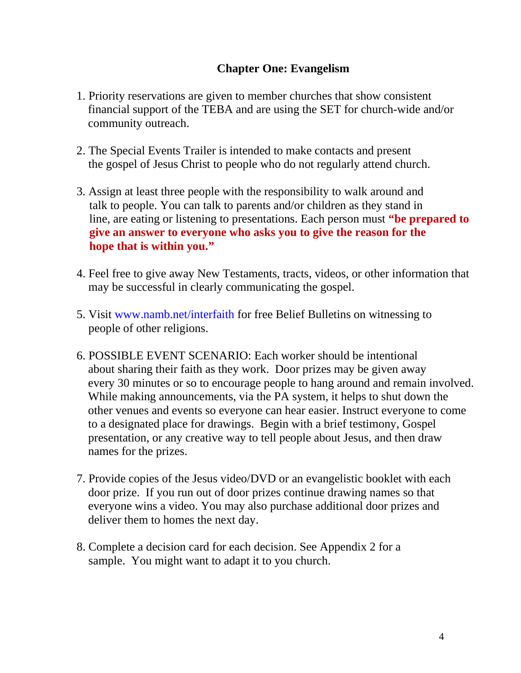## **Chapter One: Evangelism**

- 1. Priority reservations are given to member churches that show consistent financial support of the TEBA and are using the SET for church-wide and/or community outreach.
- 2. The Special Events Trailer is intended to make contacts and present the gospel of Jesus Christ to people who do not regularly attend church.
- 3. Assign at least three people with the responsibility to walk around and talk to people. You can talk to parents and/or children as they stand in line, are eating or listening to presentations. Each person must **"be prepared to give an answer to everyone who asks you to give the reason for the hope that is within you."**
- 4. Feel free to give away New Testaments, tracts, videos, or other information that may be successful in clearly communicating the gospel.
- 5. Visit www.namb.net/interfaith for free Belief Bulletins on witnessing to people of other religions.
- 6. POSSIBLE EVENT SCENARIO: Each worker should be intentional about sharing their faith as they work. Door prizes may be given away every 30 minutes or so to encourage people to hang around and remain involved. While making announcements, via the PA system, it helps to shut down the other venues and events so everyone can hear easier. Instruct everyone to come to a designated place for drawings. Begin with a brief testimony, Gospel presentation, or any creative way to tell people about Jesus, and then draw names for the prizes.
- 7. Provide copies of the Jesus video/DVD or an evangelistic booklet with each door prize. If you run out of door prizes continue drawing names so that everyone wins a video. You may also purchase additional door prizes and deliver them to homes the next day.
- 8. Complete a decision card for each decision. See Appendix 2 for a sample. You might want to adapt it to you church.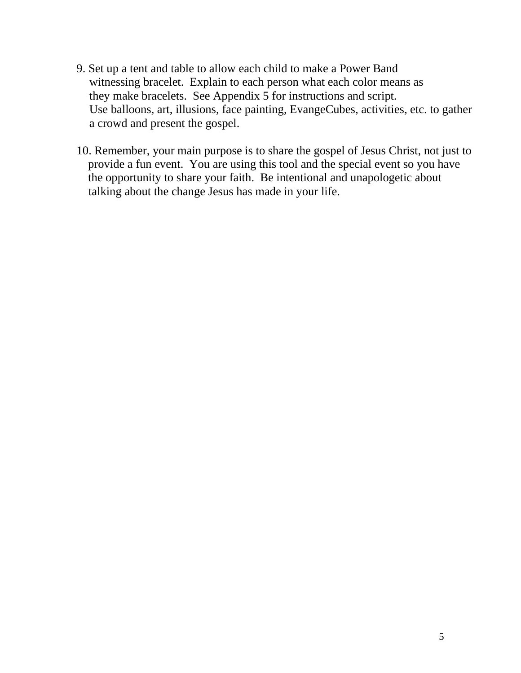- 9. Set up a tent and table to allow each child to make a Power Band witnessing bracelet. Explain to each person what each color means as they make bracelets. See Appendix 5 for instructions and script. Use balloons, art, illusions, face painting, EvangeCubes, activities, etc. to gather a crowd and present the gospel.
- 10. Remember, your main purpose is to share the gospel of Jesus Christ, not just to provide a fun event. You are using this tool and the special event so you have the opportunity to share your faith. Be intentional and unapologetic about talking about the change Jesus has made in your life.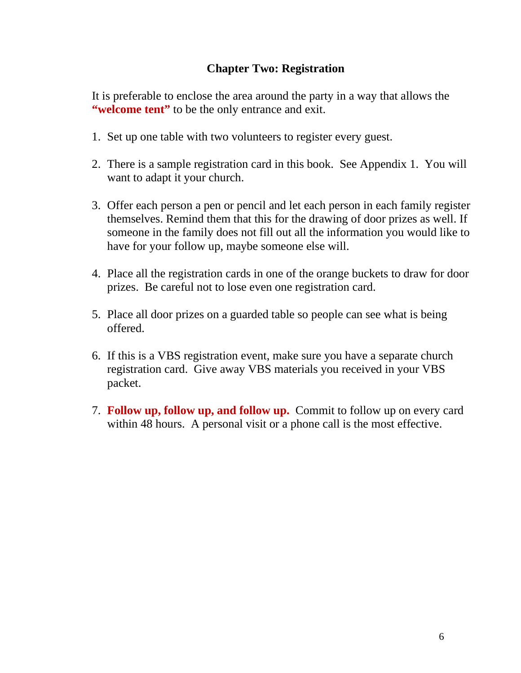## **Chapter Two: Registration**

It is preferable to enclose the area around the party in a way that allows the **"welcome tent"** to be the only entrance and exit.

- 1. Set up one table with two volunteers to register every guest.
- 2. There is a sample registration card in this book. See Appendix 1. You will want to adapt it your church.
- 3. Offer each person a pen or pencil and let each person in each family register themselves. Remind them that this for the drawing of door prizes as well. If someone in the family does not fill out all the information you would like to have for your follow up, maybe someone else will.
- 4. Place all the registration cards in one of the orange buckets to draw for door prizes. Be careful not to lose even one registration card.
- 5. Place all door prizes on a guarded table so people can see what is being offered.
- 6. If this is a VBS registration event, make sure you have a separate church registration card. Give away VBS materials you received in your VBS packet.
- 7. **Follow up, follow up, and follow up.** Commit to follow up on every card within 48 hours. A personal visit or a phone call is the most effective.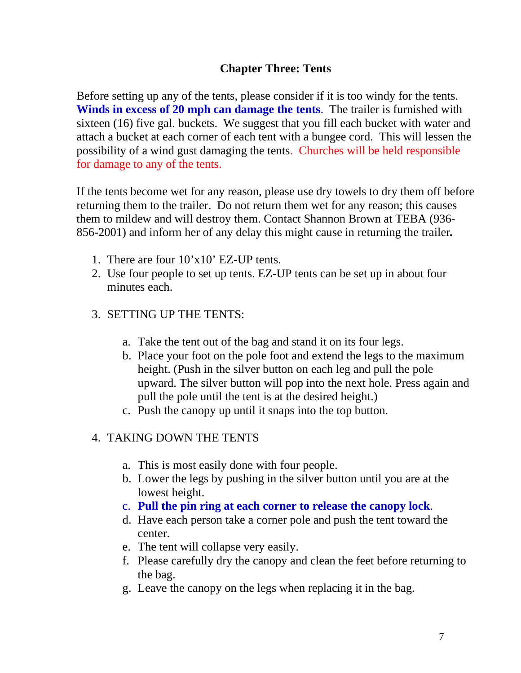## **Chapter Three: Tents**

Before setting up any of the tents, please consider if it is too windy for the tents. **Winds in excess of 20 mph can damage the tents**. The trailer is furnished with sixteen (16) five gal. buckets. We suggest that you fill each bucket with water and attach a bucket at each corner of each tent with a bungee cord. This will lessen the possibility of a wind gust damaging the tents. Churches will be held responsible for damage to any of the tents.

If the tents become wet for any reason, please use dry towels to dry them off before returning them to the trailer. Do not return them wet for any reason; this causes them to mildew and will destroy them. Contact Shannon Brown at TEBA (936- 856-2001) and inform her of any delay this might cause in returning the trailer*.* 

- 1. There are four 10'x10' EZ-UP tents.
- 2. Use four people to set up tents. EZ-UP tents can be set up in about four minutes each.
- 3. SETTING UP THE TENTS:
	- a. Take the tent out of the bag and stand it on its four legs.
	- b. Place your foot on the pole foot and extend the legs to the maximum height. (Push in the silver button on each leg and pull the pole upward. The silver button will pop into the next hole. Press again and pull the pole until the tent is at the desired height.)
	- c. Push the canopy up until it snaps into the top button.

## 4. TAKING DOWN THE TENTS

- a. This is most easily done with four people.
- b. Lower the legs by pushing in the silver button until you are at the lowest height.
- c. **Pull the pin ring at each corner to release the canopy lock**.
- d. Have each person take a corner pole and push the tent toward the center.
- e. The tent will collapse very easily.
- f. Please carefully dry the canopy and clean the feet before returning to the bag.
- g. Leave the canopy on the legs when replacing it in the bag.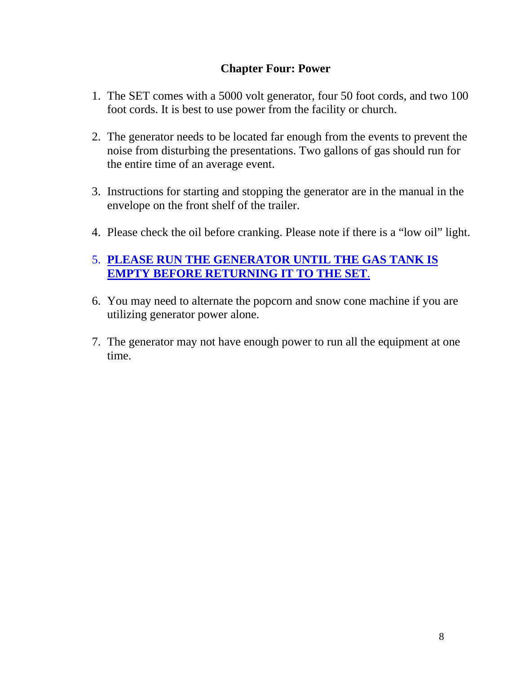## **Chapter Four: Power**

- 1. The SET comes with a 5000 volt generator, four 50 foot cords, and two 100 foot cords. It is best to use power from the facility or church.
- 2. The generator needs to be located far enough from the events to prevent the noise from disturbing the presentations. Two gallons of gas should run for the entire time of an average event.
- 3. Instructions for starting and stopping the generator are in the manual in the envelope on the front shelf of the trailer.
- 4. Please check the oil before cranking. Please note if there is a "low oil" light.

## 5. **PLEASE RUN THE GENERATOR UNTIL THE GAS TANK IS EMPTY BEFORE RETURNING IT TO THE SET**.

- 6. You may need to alternate the popcorn and snow cone machine if you are utilizing generator power alone.
- 7. The generator may not have enough power to run all the equipment at one time.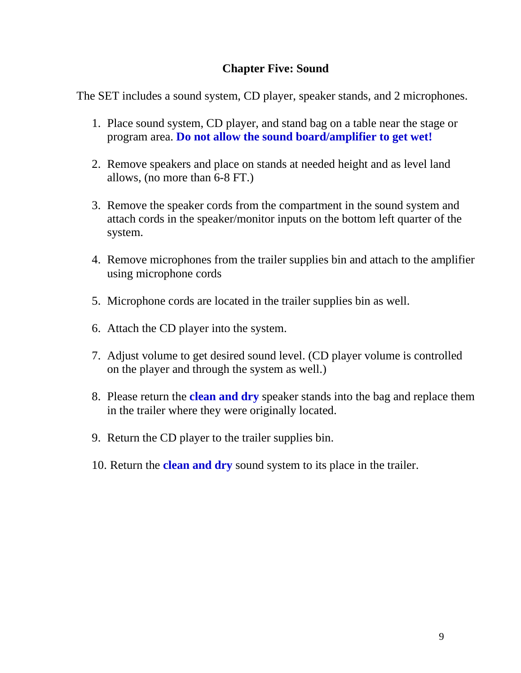## **Chapter Five: Sound**

The SET includes a sound system, CD player, speaker stands, and 2 microphones.

- 1. Place sound system, CD player, and stand bag on a table near the stage or program area. **Do not allow the sound board/amplifier to get wet!**
- 2. Remove speakers and place on stands at needed height and as level land allows, (no more than 6-8 FT.)
- 3. Remove the speaker cords from the compartment in the sound system and attach cords in the speaker/monitor inputs on the bottom left quarter of the system.
- 4. Remove microphones from the trailer supplies bin and attach to the amplifier using microphone cords
- 5. Microphone cords are located in the trailer supplies bin as well.
- 6. Attach the CD player into the system.
- 7. Adjust volume to get desired sound level. (CD player volume is controlled on the player and through the system as well.)
- 8. Please return the **clean and dry** speaker stands into the bag and replace them in the trailer where they were originally located.
- 9. Return the CD player to the trailer supplies bin.
- 10. Return the **clean and dry** sound system to its place in the trailer.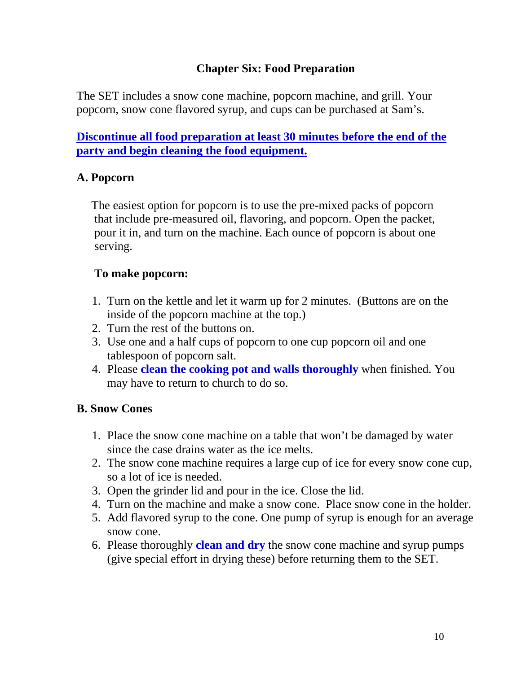## **Chapter Six: Food Preparation**

The SET includes a snow cone machine, popcorn machine, and grill. Your popcorn, snow cone flavored syrup, and cups can be purchased at Sam's.

**Discontinue all food preparation at least 30 minutes before the end of the party and begin cleaning the food equipment.**

## **A. Popcorn**

 The easiest option for popcorn is to use the pre-mixed packs of popcorn that include pre-measured oil, flavoring, and popcorn. Open the packet, pour it in, and turn on the machine. Each ounce of popcorn is about one serving.

## **To make popcorn:**

- 1. Turn on the kettle and let it warm up for 2 minutes. (Buttons are on the inside of the popcorn machine at the top.)
- 2. Turn the rest of the buttons on.
- 3. Use one and a half cups of popcorn to one cup popcorn oil and one tablespoon of popcorn salt.
- 4. Please **clean the cooking pot and walls thoroughly** when finished. You may have to return to church to do so.

## **B. Snow Cones**

- 1. Place the snow cone machine on a table that won't be damaged by water since the case drains water as the ice melts.
- 2. The snow cone machine requires a large cup of ice for every snow cone cup, so a lot of ice is needed.
- 3. Open the grinder lid and pour in the ice. Close the lid.
- 4. Turn on the machine and make a snow cone. Place snow cone in the holder.
- 5. Add flavored syrup to the cone. One pump of syrup is enough for an average snow cone.
- 6. Please thoroughly **clean and dry** the snow cone machine and syrup pumps (give special effort in drying these) before returning them to the SET.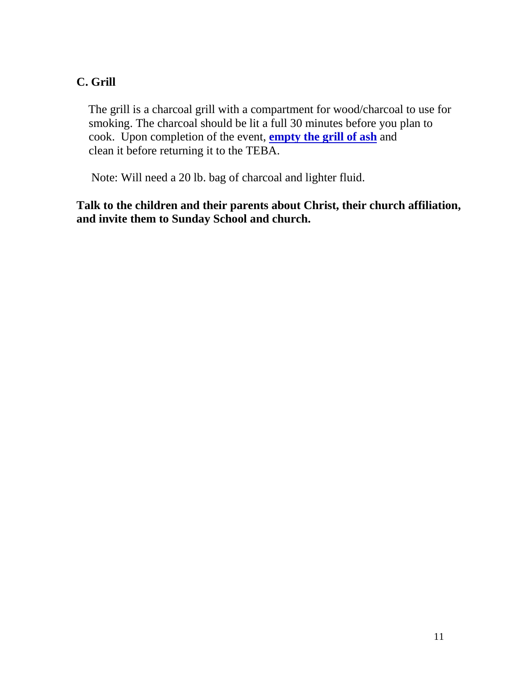## **C. Grill**

The grill is a charcoal grill with a compartment for wood/charcoal to use for smoking. The charcoal should be lit a full 30 minutes before you plan to cook. Upon completion of the event, **empty the grill of ash** and clean it before returning it to the TEBA.

Note: Will need a 20 lb. bag of charcoal and lighter fluid.

**Talk to the children and their parents about Christ, their church affiliation, and invite them to Sunday School and church.**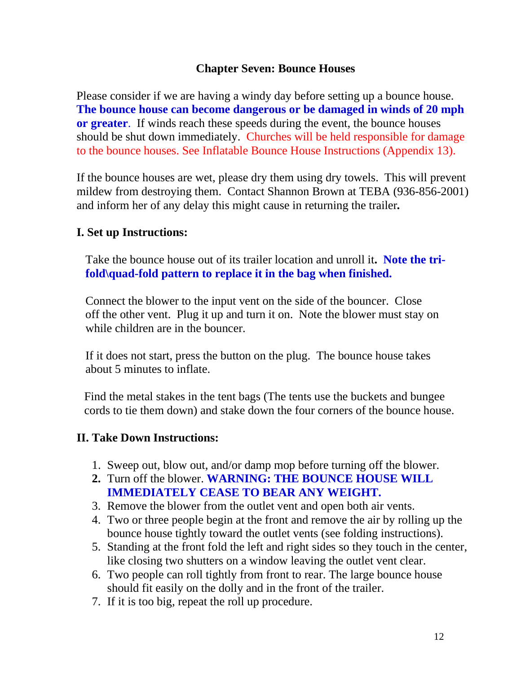## **Chapter Seven: Bounce Houses**

Please consider if we are having a windy day before setting up a bounce house. **The bounce house can become dangerous or be damaged in winds of 20 mph or greater**. If winds reach these speeds during the event, the bounce houses should be shut down immediately. Churches will be held responsible for damage to the bounce houses. See Inflatable Bounce House Instructions (Appendix 13).

If the bounce houses are wet, please dry them using dry towels. This will prevent mildew from destroying them. Contact Shannon Brown at TEBA (936-856-2001) and inform her of any delay this might cause in returning the trailer*.*

## **I. Set up Instructions:**

Take the bounce house out of its trailer location and unroll it**. Note the trifold\quad-fold pattern to replace it in the bag when finished.**

Connect the blower to the input vent on the side of the bouncer. Close off the other vent. Plug it up and turn it on. Note the blower must stay on while children are in the bouncer.

 If it does not start, press the button on the plug. The bounce house takes about 5 minutes to inflate.

Find the metal stakes in the tent bags (The tents use the buckets and bungee cords to tie them down) and stake down the four corners of the bounce house.

## **II. Take Down Instructions:**

- 1. Sweep out, blow out, and/or damp mop before turning off the blower.
- **2.** Turn off the blower. **WARNING: THE BOUNCE HOUSE WILL IMMEDIATELY CEASE TO BEAR ANY WEIGHT.**
- 3. Remove the blower from the outlet vent and open both air vents.
- 4. Two or three people begin at the front and remove the air by rolling up the bounce house tightly toward the outlet vents (see folding instructions).
- 5. Standing at the front fold the left and right sides so they touch in the center, like closing two shutters on a window leaving the outlet vent clear.
- 6. Two people can roll tightly from front to rear. The large bounce house should fit easily on the dolly and in the front of the trailer.
- 7. If it is too big, repeat the roll up procedure.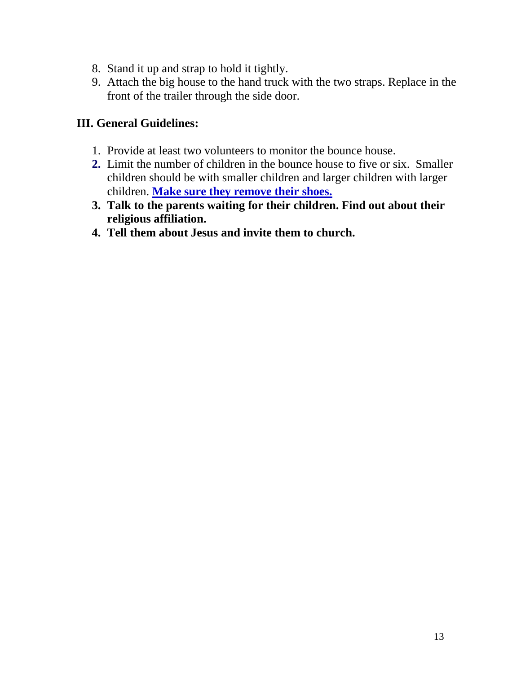- 8. Stand it up and strap to hold it tightly.
- 9. Attach the big house to the hand truck with the two straps. Replace in the front of the trailer through the side door.

## **III. General Guidelines:**

- 1. Provide at least two volunteers to monitor the bounce house.
- **2.** Limit the number of children in the bounce house to five or six. Smaller children should be with smaller children and larger children with larger children. **Make sure they remove their shoes.**
- **3. Talk to the parents waiting for their children. Find out about their religious affiliation.**
- **4. Tell them about Jesus and invite them to church.**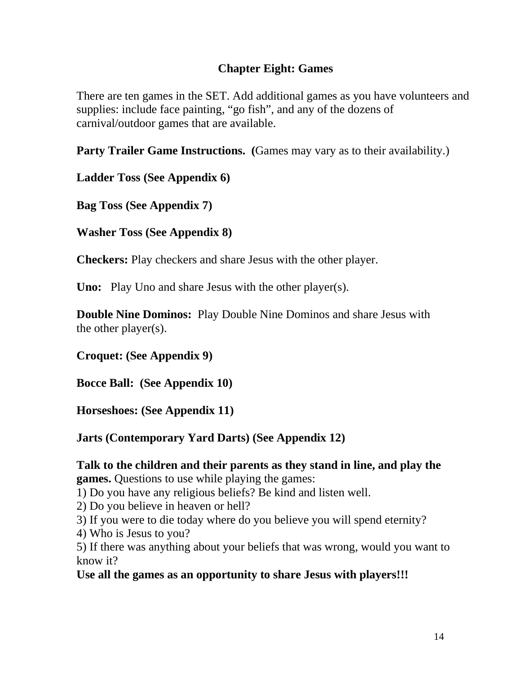## **Chapter Eight: Games**

There are ten games in the SET. Add additional games as you have volunteers and supplies: include face painting, "go fish", and any of the dozens of carnival/outdoor games that are available.

**Party Trailer Game Instructions.** (Games may vary as to their availability.)

**Ladder Toss (See Appendix 6)**

**Bag Toss (See Appendix 7)**

**Washer Toss (See Appendix 8)**

**Checkers:** Play checkers and share Jesus with the other player.

**Uno:** Play Uno and share Jesus with the other player(s).

**Double Nine Dominos:** Play Double Nine Dominos and share Jesus with the other player(s).

**Croquet: (See Appendix 9)**

**Bocce Ball: (See Appendix 10)** 

**Horseshoes: (See Appendix 11)** 

**Jarts (Contemporary Yard Darts) (See Appendix 12)** 

**Talk to the children and their parents as they stand in line, and play the games.** Questions to use while playing the games:

1) Do you have any religious beliefs? Be kind and listen well.

2) Do you believe in heaven or hell?

3) If you were to die today where do you believe you will spend eternity?

4) Who is Jesus to you?

5) If there was anything about your beliefs that was wrong, would you want to know it?

**Use all the games as an opportunity to share Jesus with players!!!**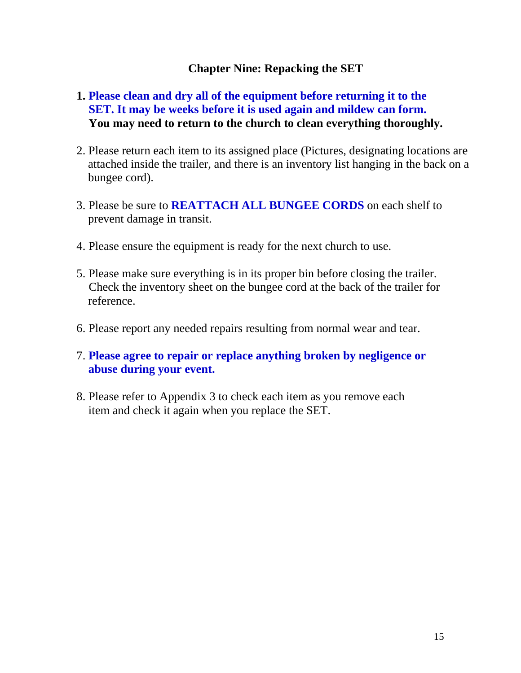## **Chapter Nine: Repacking the SET**

## **1. Please clean and dry all of the equipment before returning it to the SET. It may be weeks before it is used again and mildew can form. You may need to return to the church to clean everything thoroughly.**

- 2. Please return each item to its assigned place (Pictures, designating locations are attached inside the trailer, and there is an inventory list hanging in the back on a bungee cord).
- 3. Please be sure to **REATTACH ALL BUNGEE CORDS** on each shelf to prevent damage in transit.
- 4. Please ensure the equipment is ready for the next church to use.
- 5. Please make sure everything is in its proper bin before closing the trailer. Check the inventory sheet on the bungee cord at the back of the trailer for reference.
- 6. Please report any needed repairs resulting from normal wear and tear.
- 7. **Please agree to repair or replace anything broken by negligence or abuse during your event.**
- 8. Please refer to Appendix 3 to check each item as you remove each item and check it again when you replace the SET.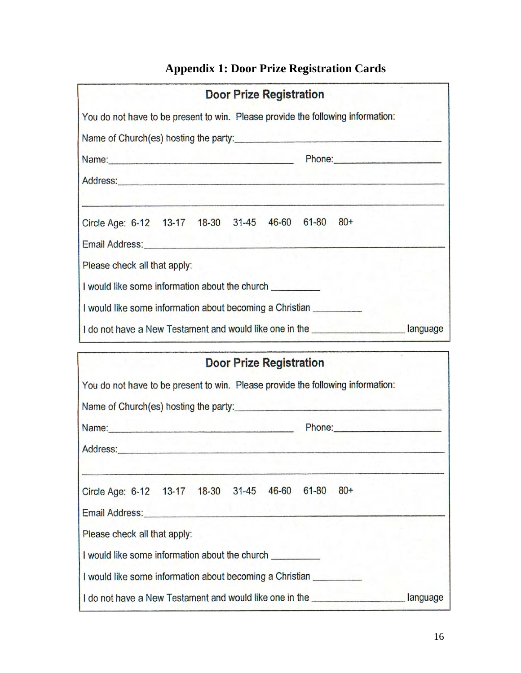## **Appendix 1: Door Prize Registration Cards**

| <b>Door Prize Registration</b>                                                                                                                                                                                                 |  |
|--------------------------------------------------------------------------------------------------------------------------------------------------------------------------------------------------------------------------------|--|
| You do not have to be present to win. Please provide the following information:                                                                                                                                                |  |
| Name of Church(es) hosting the party:                                                                                                                                                                                          |  |
| Name: <u>Name:</u> Phone: Phone: Phone: Phone: Phone: Phone: Phone: 2014                                                                                                                                                       |  |
|                                                                                                                                                                                                                                |  |
| Circle Age: 6-12 13-17 18-30 31-45 46-60 61-80 80+                                                                                                                                                                             |  |
| Email Address: Management Contract Contract Contract Contract Contract Contract Contract Contract Contract Contract Contract Contract Contract Contract Contract Contract Contract Contract Contract Contract Contract Contrac |  |
| Please check all that apply:                                                                                                                                                                                                   |  |
| I would like some information about the church                                                                                                                                                                                 |  |
| I would like some information about becoming a Christian                                                                                                                                                                       |  |
| I do not have a New Testament and would like one in the ________________________ language                                                                                                                                      |  |
| <b>Door Prize Registration</b>                                                                                                                                                                                                 |  |
| You do not have to be present to win. Please provide the following information:                                                                                                                                                |  |
|                                                                                                                                                                                                                                |  |
| Phone: <b>Example 2018</b>                                                                                                                                                                                                     |  |
|                                                                                                                                                                                                                                |  |

| Circle Age: 6-12 13-17 18-30 31-45                       |  | 46-60 | $61 - 80$ | $80+$ |          |
|----------------------------------------------------------|--|-------|-----------|-------|----------|
| Email Address: Email Address:                            |  |       |           |       |          |
| Please check all that apply:                             |  |       |           |       |          |
| I would like some information about the church           |  |       |           |       |          |
| I would like some information about becoming a Christian |  |       |           |       |          |
| I do not have a New Testament and would like one in the  |  |       |           |       | language |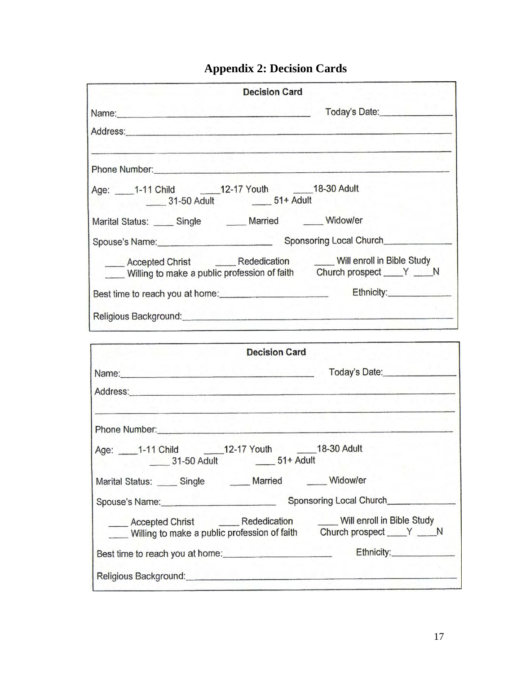## **Appendix 2: Decision Cards**

|                                                                                                                   | <b>Decision Card</b>                                                                                             |                                                                                                                                                         |
|-------------------------------------------------------------------------------------------------------------------|------------------------------------------------------------------------------------------------------------------|---------------------------------------------------------------------------------------------------------------------------------------------------------|
|                                                                                                                   |                                                                                                                  | Today's Date:                                                                                                                                           |
| Address: Address:                                                                                                 |                                                                                                                  |                                                                                                                                                         |
| Phone Number: 2008 Communication of the Number of Street and Street and Street and Street and Street and Street   | and a structure of the control of the control of the control of the control of the control of the control of the |                                                                                                                                                         |
| Age: 1-11 Child 12-17 Youth 18-30 Adult<br>31-50 Adult 51+ Adult                                                  |                                                                                                                  |                                                                                                                                                         |
| Marital Status: _____ Single _______ Married ______ Widow/er                                                      |                                                                                                                  |                                                                                                                                                         |
| Spouse's Name:                                                                                                    |                                                                                                                  | Sponsoring Local Church                                                                                                                                 |
|                                                                                                                   |                                                                                                                  | Accepted Christ ________ Rededication _______ Will enroll in Bible Study<br>Willing to make a public profession of faith Church prospect ____ Y _____ N |
|                                                                                                                   |                                                                                                                  | Best time to reach you at home: Ethnicity: Ethnicity:                                                                                                   |
| Religious Background: Campaigneer and Campaigneer and Campaigneer and Campaigneer and Campaigneer and Campaigneer |                                                                                                                  |                                                                                                                                                         |

|                                                                                                                                                                                                                                | <b>Decision Card</b>                                                                                                                                    |
|--------------------------------------------------------------------------------------------------------------------------------------------------------------------------------------------------------------------------------|---------------------------------------------------------------------------------------------------------------------------------------------------------|
|                                                                                                                                                                                                                                | Today's Date:                                                                                                                                           |
| Address: Address:                                                                                                                                                                                                              |                                                                                                                                                         |
| Phone Number: experience and a series of the series of the series of the series of the series of the series of the series of the series of the series of the series of the series of the series of the series of the series of |                                                                                                                                                         |
| Age: 1-11 Child 12-17 Youth 18-30 Adult<br>31-50 Adult 51+ Adult                                                                                                                                                               |                                                                                                                                                         |
| Marital Status: _____ Single ______ Married ______ Widow/er                                                                                                                                                                    |                                                                                                                                                         |
|                                                                                                                                                                                                                                | Sponsoring Local Church                                                                                                                                 |
|                                                                                                                                                                                                                                | Accepted Christ ________ Rededication _______ Will enroll in Bible Study<br>Willing to make a public profession of faith Church prospect ____ Y _____ N |
| Best time to reach you at home:                                                                                                                                                                                                |                                                                                                                                                         |
| Religious Background: Campaigneer Contract Contract Contract Contract Contract Contract Contract Contract Contract Contract Contract Contract Contract Contract Contract Contract Contract Contract Contract Contract Contract |                                                                                                                                                         |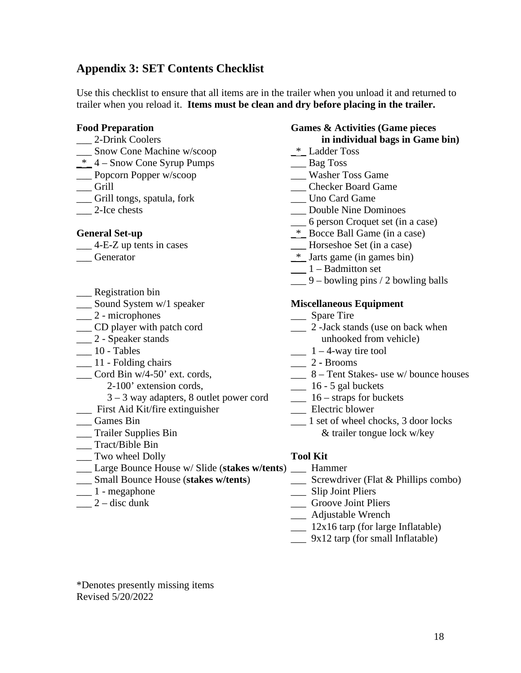## **Appendix 3: SET Contents Checklist**

Use this checklist to ensure that all items are in the trailer when you unload it and returned to trailer when you reload it. **Items must be clean and dry before placing in the trailer.**

- 
- \_\_\_ Snow Cone Machine w/scoop \_\*\_ Ladder Toss
- $*$  4 Snow Cone Syrup Pumps  $\overline{\phantom{a}}$  Bag Toss
- \_\_\_ Popcorn Popper w/scoop \_\_\_\_ Washer Toss Game \_\_\_ Washer Toss Game \_\_\_ Grill
- 
- $\_\_$  Grill tongs, spatula, fork
- 

- 
- 
- \_\_\_ Registration bin
- \_\_\_ Sound System w/1 speaker **Miscellaneous Equipment**
- \_\_\_ 2 microphones \_\_\_ Spare Tire
- 
- 
- 
- $\frac{1}{2}$  10 Tables  $\frac{1}{2}$  4-way tire tool  $\frac{1}{2}$  Brooms  $\frac{1}{2}$  11 - Folding chairs
- - 2-100' extension cords, \_\_\_ 16 5 gal buckets
	- 3 3 way adapters, 8 outlet power cord \_\_\_ 16 straps for buckets
- \_\_\_ First Aid Kit/fire extinguisher \_\_\_\_ Electric blower \_\_\_ Games Bin \_\_\_\_ 1 set of wheel ch
- 
- 
- \_\_ Tract/Bible Bin
- \_\_\_ Two wheel Dolly **Tool Kit**
- \_\_\_ Large Bounce House w/ Slide (**stakes w/tents**) \_\_\_ Hammer
- $\frac{S}{\sqrt{1-\lambda}}$  Small Bounce House (**stakes w/tents**)
- 
- 

### **Food Preparation Games & Activities (Game pieces**  \_\_\_ 2-Drink Coolers **in individual bags in Game bin)**

- 
- 
- 
- \_\_\_ Checker Board Game<br>Uno Card Game
- 
- \_\_\_ 2-Ice chests \_\_\_ Double Nine Dominoes
	- \_\_\_ 6 person Croquet set (in a case)
- General Set-up **and Set-up a** Bocce Ball Game (in a case)
- \_\_\_ 4-E**-**Z up tents in cases **\_\_\_** Horseshoe Set (in a case)
- \_\_\_ Generator \_\*\_ Jarts game (in games bin)
	- $\frac{1}{1 \text{Badmitton}}$  set
	- $\_\_\_\$ 9 bowling pins / 2 bowling balls

- 
- \_\_\_ CD player with patch cord \_\_\_ 2 -Jack stands (use on back when \_\_\_ 2 - Speaker stands unhooked from vehicle)
	-
	-
- \_\_\_ Cord Bin w/4-50' ext. cords, \_\_\_ 8 Tent Stakes- use w/ bounce houses
	-
	-
	-
- 1 set of wheel chocks, 3 door locks \_\_\_ Trailer Supplies Bin & trailer tongue lock w/key

- 
- 
- \_\_\_ Slip Joint Pliers
- \_\_\_ 2 disc dunk \_\_\_ Groove Joint Pliers
	- \_\_\_ Adjustable Wrench
	- \_\_\_ 12x16 tarp (for large Inflatable)
	- \_\_\_ 9x12 tarp (for small Inflatable)

\*Denotes presently missing items Revised 5/20/2022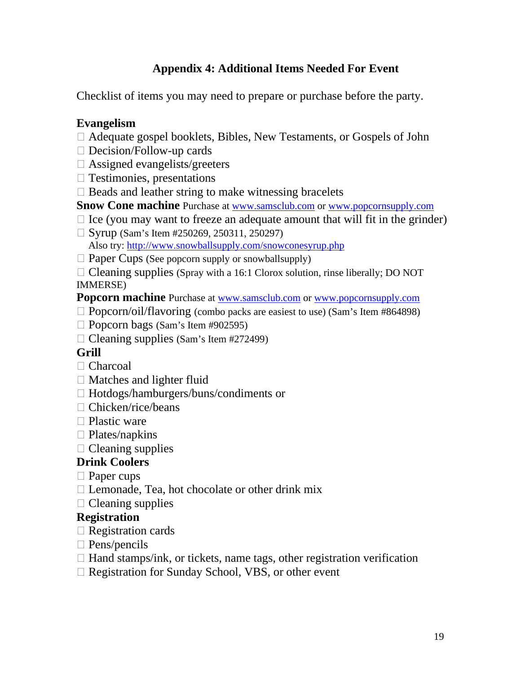## **Appendix 4: Additional Items Needed For Event**

Checklist of items you may need to prepare or purchase before the party.

## **Evangelism**

- $\Box$  Adequate gospel booklets, Bibles, New Testaments, or Gospels of John
- $\Box$  Decision/Follow-up cards
- $\Box$  Assigned evangelists/greeters
- $\Box$  Testimonies, presentations
- $\Box$  Beads and leather string to make witnessing bracelets
- **Snow Cone machine** Purchase at [www.samsclub.com](http://www.samsclub.com/) or [www.popcornsupply.com](http://www.popcornsupply.com/)
- $\Box$  Ice (you may want to freeze an adequate amount that will fit in the grinder)
- $\Box$  Syrup (Sam's Item #250269, 250311, 250297) Also try:<http://www.snowballsupply.com/snowconesyrup.php>
- $\Box$  Paper Cups (See popcorn supply or snowballsupply)

 $\Box$  Cleaning supplies (Spray with a 16:1 Clorox solution, rinse liberally; DO NOT IMMERSE)

**Popcorn machine** Purchase at [www.samsclub.com](http://www.samsclub.com/) or [www.popcornsupply.com](http://www.popcornsupply.com/)

- $\Box$  Popcorn/oil/flavoring (combo packs are easiest to use) (Sam's Item #864898)
- $\Box$  Popcorn bags (Sam's Item #902595)
- $\Box$  Cleaning supplies (Sam's Item #272499)

## **Grill**

- $\Box$  Charcoal
- $\Box$  Matches and lighter fluid
- □ Hotdogs/hamburgers/buns/condiments or
- $\Box$  Chicken/rice/beans
- $\Box$  Plastic ware
- $\Box$  Plates/napkins
- $\Box$  Cleaning supplies

## **Drink Coolers**

- $\Box$  Paper cups
- $\Box$  Lemonade, Tea, hot chocolate or other drink mix
- $\Box$  Cleaning supplies

## **Registration**

- $\Box$  Registration cards
- $\Box$  Pens/pencils
- $\Box$  Hand stamps/ink, or tickets, name tags, other registration verification
- $\Box$  Registration for Sunday School, VBS, or other event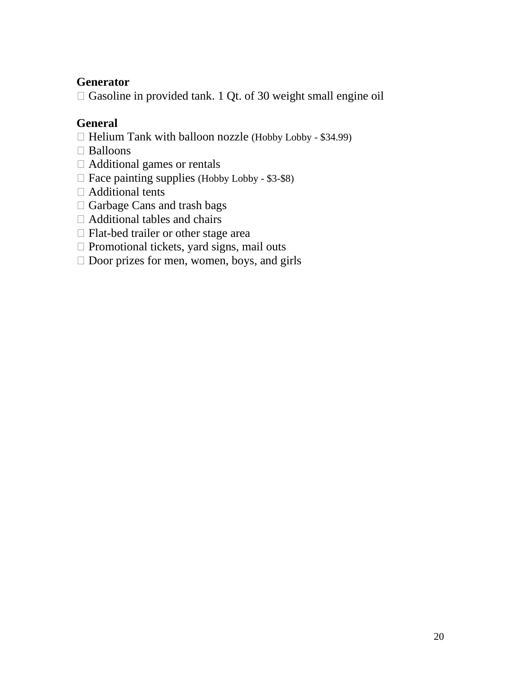## **Generator**

 $\Box$  Gasoline in provided tank. 1 Qt. of 30 weight small engine oil

## **General**

- $\Box$  Helium Tank with balloon nozzle (Hobby Lobby \$34.99)
- $\Box$  Balloons
- $\Box$  Additional games or rentals
- $\Box$  Face painting supplies (Hobby Lobby \$3-\$8)
- $\Box$  Additional tents
- $\Box$  Garbage Cans and trash bags
- $\Box$  Additional tables and chairs
- $\Box$  Flat-bed trailer or other stage area
- $\Box$  Promotional tickets, yard signs, mail outs
- $\Box$  Door prizes for men, women, boys, and girls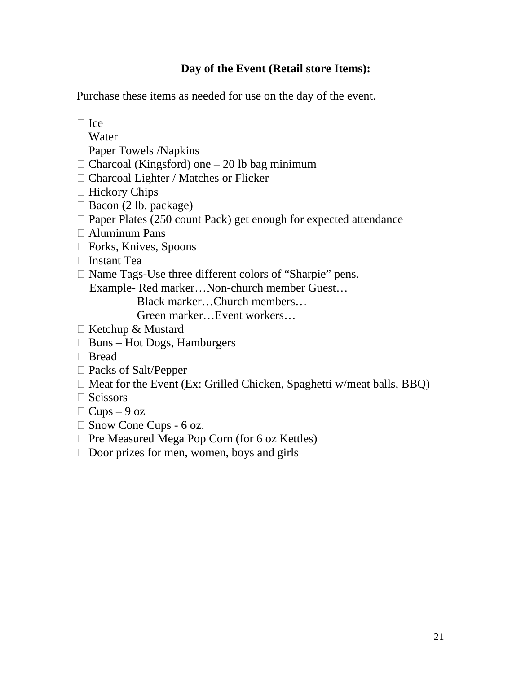## **Day of the Event (Retail store Items):**

Purchase these items as needed for use on the day of the event.

- $\Box$  Ice
- $\Box$  Water
- $\square$  Paper Towels /Napkins
- $\Box$  Charcoal (Kingsford) one 20 lb bag minimum
- $\Box$  Charcoal Lighter / Matches or Flicker
- $\Box$  Hickory Chips
- $\Box$  Bacon (2 lb. package)
- $\Box$  Paper Plates (250 count Pack) get enough for expected attendance
- $\Box$  Aluminum Pans
- $\Box$  Forks, Knives, Spoons
- $\Box$  Instant Tea
- $\Box$  Name Tags-Use three different colors of "Sharpie" pens.

Example- Red marker…Non-church member Guest…

Black marker…Church members…

Green marker…Event workers…

- □ Ketchup & Mustard
- $\Box$  Buns Hot Dogs, Hamburgers
- $\Box$  Bread
- $\Box$  Packs of Salt/Pepper
- $\Box$  Meat for the Event (Ex: Grilled Chicken, Spaghetti w/meat balls, BBQ)
- $\Box$  Scissors
- $\Box$  Cups 9 oz
- $\Box$  Snow Cone Cups 6 oz.
- $\Box$  Pre Measured Mega Pop Corn (for 6 oz Kettles)
- $\Box$  Door prizes for men, women, boys and girls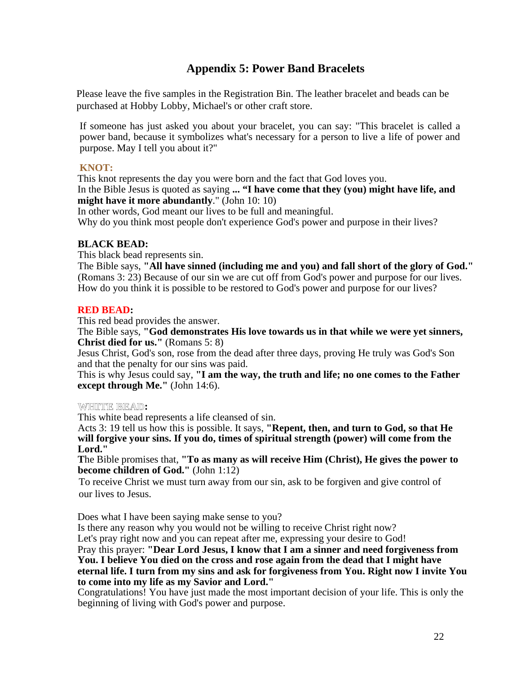## **Appendix 5: Power Band Bracelets**

Please leave the five samples in the Registration Bin. The leather bracelet and beads can be purchased at Hobby Lobby, Michael's or other craft store.

If someone has just asked you about your bracelet, you can say: "This bracelet is called a power band, because it symbolizes what's necessary for a person to live a life of power and purpose. May I tell you about it?"

### **KNOT:**

This knot represents the day you were born and the fact that God loves you. In the Bible Jesus is quoted as saying **... "I have come that they (you) might have life, and might have it more abundantly**." (John 10: 10)

In other words, God meant our lives to be full and meaningful.

Why do you think most people don't experience God's power and purpose in their lives?

### **BLACK BEAD:**

This black bead represents sin.

The Bible says, **"All have sinned (including me and you) and fall short of the glory of God."** (Romans 3: 23) Because of our sin we are cut off from God's power and purpose for our lives. How do you think it is possible to be restored to God's power and purpose for our lives?

### **RED BEAD:**

This red bead provides the answer.

The Bible says, **"God demonstrates His love towards us in that while we were yet sinners, Christ died for us."** (Romans 5: 8)

Jesus Christ, God's son, rose from the dead after three days, proving He truly was God's Son and that the penalty for our sins was paid.

This is why Jesus could say, **"I am the way, the truth and life; no one comes to the Father except through Me."** (John 14:6).

### **WHITE BEAD:**

This white bead represents a life cleansed of sin.

Acts 3: 19 tell us how this is possible. It says, **"Repent, then, and turn to God, so that He will forgive your sins. If you do, times of spiritual strength (power) will come from the Lord."** 

**T**he Bible promises that, **"To as many as will receive Him (Christ), He gives the power to become children of God."** (John 1:12)

To receive Christ we must turn away from our sin, ask to be forgiven and give control of our lives to Jesus.

Does what I have been saying make sense to you?

Is there any reason why you would not be willing to receive Christ right now?

Let's pray right now and you can repeat after me, expressing your desire to God!

Pray this prayer: **"Dear Lord Jesus, I know that I am a sinner and need forgiveness from You. I believe You died on the cross and rose again from the dead that I might have eternal life. I turn from my sins and ask for forgiveness from You. Right now I invite You to come into my life as my Savior and Lord."** 

Congratulations! You have just made the most important decision of your life. This is only the beginning of living with God's power and purpose.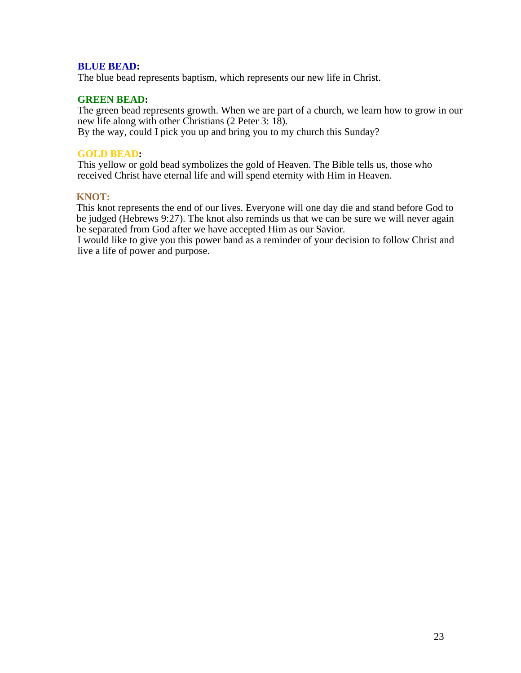### **BLUE BEAD:**

The blue bead represents baptism, which represents our new life in Christ.

### **GREEN BEAD:**

The green bead represents growth. When we are part of a church, we learn how to grow in our new life along with other Christians (2 Peter 3: 18). By the way, could I pick you up and bring you to my church this Sunday?

### **GOLD BEAD:**

This yellow or gold bead symbolizes the gold of Heaven. The Bible tells us, those who received Christ have eternal life and will spend eternity with Him in Heaven.

### **KNOT:**

This knot represents the end of our lives. Everyone will one day die and stand before God to be judged (Hebrews 9:27). The knot also reminds us that we can be sure we will never again be separated from God after we have accepted Him as our Savior.

I would like to give you this power band as a reminder of your decision to follow Christ and live a life of power and purpose.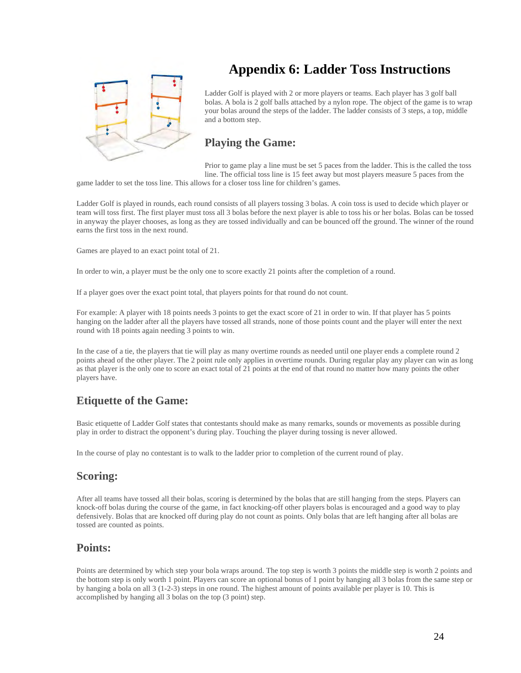

## **Appendix 6: Ladder Toss Instructions**

Ladder Golf is played with 2 or more players or teams. Each player has 3 golf ball bolas. A bola is 2 golf balls attached by a nylon rope. The object of the game is to wrap your bolas around the steps of the ladder. The ladder consists of 3 steps, a top, middle and a bottom step.

## **Playing the Game:**

Prior to game play a line must be set 5 paces from the ladder. This is the called the toss line. The official toss line is 15 feet away but most players measure 5 paces from the

game ladder to set the toss line. This allows for a closer toss line for children's games.

Ladder Golf is played in rounds, each round consists of all players tossing 3 bolas. A coin toss is used to decide which player or team will toss first. The first player must toss all 3 bolas before the next player is able to toss his or her bolas. Bolas can be tossed in anyway the player chooses, as long as they are tossed individually and can be bounced off the ground. The winner of the round earns the first toss in the next round.

Games are played to an exact point total of 21.

In order to win, a player must be the only one to score exactly 21 points after the completion of a round.

If a player goes over the exact point total, that players points for that round do not count.

For example: A player with 18 points needs 3 points to get the exact score of 21 in order to win. If that player has 5 points hanging on the ladder after all the players have tossed all strands, none of those points count and the player will enter the next round with 18 points again needing 3 points to win.

In the case of a tie, the players that tie will play as many overtime rounds as needed until one player ends a complete round 2 points ahead of the other player. The 2 point rule only applies in overtime rounds. During regular play any player can win as long as that player is the only one to score an exact total of 21 points at the end of that round no matter how many points the other players have.

### **Etiquette of the Game:**

Basic etiquette of Ladder Golf states that contestants should make as many remarks, sounds or movements as possible during play in order to distract the opponent's during play. Touching the player during tossing is never allowed.

In the course of play no contestant is to walk to the ladder prior to completion of the current round of play.

### **Scoring:**

After all teams have tossed all their bolas, scoring is determined by the bolas that are still hanging from the steps. Players can knock-off bolas during the course of the game, in fact knocking-off other players bolas is encouraged and a good way to play defensively. Bolas that are knocked off during play do not count as points. Only bolas that are left hanging after all bolas are tossed are counted as points.

### **Points:**

Points are determined by which step your bola wraps around. The top step is worth 3 points the middle step is worth 2 points and the bottom step is only worth 1 point. Players can score an optional bonus of 1 point by hanging all 3 bolas from the same step or by hanging a bola on all 3 (1-2-3) steps in one round. The highest amount of points available per player is 10. This is accomplished by hanging all 3 bolas on the top (3 point) step.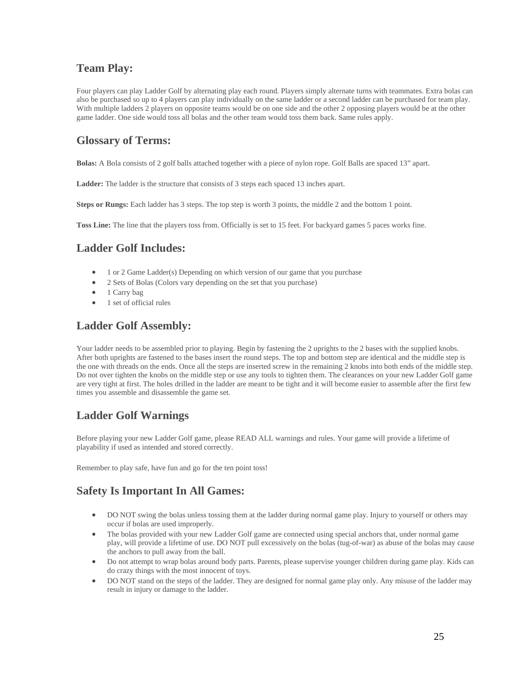## **Team Play:**

Four players can play Ladder Golf by alternating play each round. Players simply alternate turns with teammates. Extra bolas can also be purchased so up to 4 players can play individually on the same ladder or a second ladder can be purchased for team play. With multiple ladders 2 players on opposite teams would be on one side and the other 2 opposing players would be at the other game ladder. One side would toss all bolas and the other team would toss them back. Same rules apply.

### **Glossary of Terms:**

**Bolas:** A Bola consists of 2 golf balls attached together with a piece of nylon rope. Golf Balls are spaced 13" apart.

**Ladder:** The ladder is the structure that consists of 3 steps each spaced 13 inches apart.

**Steps or Rungs:** Each ladder has 3 steps. The top step is worth 3 points, the middle 2 and the bottom 1 point.

**Toss Line:** The line that the players toss from. Officially is set to 15 feet. For backyard games 5 paces works fine.

## **Ladder Golf Includes:**

- 1 or 2 Game Ladder(s) Depending on which version of our game that you purchase
- 2 Sets of Bolas (Colors vary depending on the set that you purchase)
- 1 Carry bag
- 1 set of official rules

## **Ladder Golf Assembly:**

Your ladder needs to be assembled prior to playing. Begin by fastening the 2 uprights to the 2 bases with the supplied knobs. After both uprights are fastened to the bases insert the round steps. The top and bottom step are identical and the middle step is the one with threads on the ends. Once all the steps are inserted screw in the remaining 2 knobs into both ends of the middle step. Do not over tighten the knobs on the middle step or use any tools to tighten them. The clearances on your new Ladder Golf game are very tight at first. The holes drilled in the ladder are meant to be tight and it will become easier to assemble after the first few times you assemble and disassemble the game set.

## **Ladder Golf Warnings**

Before playing your new Ladder Golf game, please READ ALL warnings and rules. Your game will provide a lifetime of playability if used as intended and stored correctly.

Remember to play safe, have fun and go for the ten point toss!

### **Safety Is Important In All Games:**

- DO NOT swing the bolas unless tossing them at the ladder during normal game play. Injury to yourself or others may occur if bolas are used improperly.
- The bolas provided with your new Ladder Golf game are connected using special anchors that, under normal game play, will provide a lifetime of use. DO NOT pull excessively on the bolas (tug-of-war) as abuse of the bolas may cause the anchors to pull away from the ball.
- Do not attempt to wrap bolas around body parts. Parents, please supervise younger children during game play. Kids can do crazy things with the most innocent of toys.
- DO NOT stand on the steps of the ladder. They are designed for normal game play only. Any misuse of the ladder may result in injury or damage to the ladder.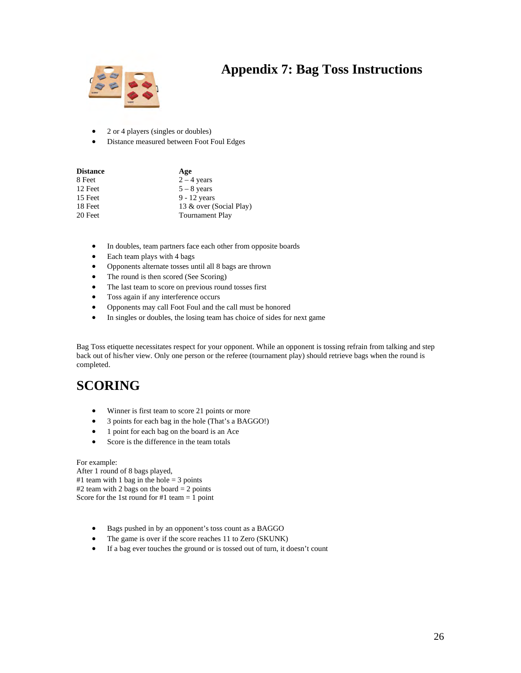## **Appendix 7: Bag Toss Instructions**



### • 2 or 4 players (singles or doubles)

• Distance measured between Foot Foul Edges

| <b>Distance</b> | Age                     |
|-----------------|-------------------------|
| 8 Feet          | $2 - 4$ years           |
| 12 Feet         | $5 - 8$ years           |
| 15 Feet         | $9 - 12$ years          |
| 18 Feet         | 13 & over (Social Play) |
| 20 Feet         | <b>Tournament Play</b>  |

- In doubles, team partners face each other from opposite boards
- Each team plays with 4 bags
- Opponents alternate tosses until all 8 bags are thrown
- The round is then scored (See Scoring)
- The last team to score on previous round tosses first
- Toss again if any interference occurs
- Opponents may call Foot Foul and the call must be honored
- In singles or doubles, the losing team has choice of sides for next game

Bag Toss etiquette necessitates respect for your opponent. While an opponent is tossing refrain from talking and step back out of his/her view. Only one person or the referee (tournament play) should retrieve bags when the round is completed.

## **SCORING**

- Winner is first team to score 21 points or more
- 3 points for each bag in the hole (That's a BAGGO!)
- 1 point for each bag on the board is an Ace
- Score is the difference in the team totals

### For example:

After 1 round of 8 bags played, #1 team with 1 bag in the hole  $=$  3 points #2 team with 2 bags on the board  $= 2$  points Score for the 1st round for  $#1$  team = 1 point

- Bags pushed in by an opponent's toss count as a BAGGO
- The game is over if the score reaches 11 to Zero (SKUNK)
- If a bag ever touches the ground or is tossed out of turn, it doesn't count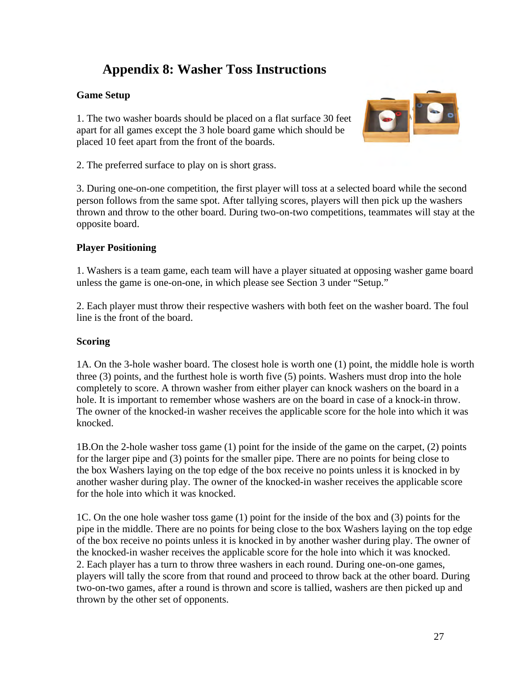## **Appendix 8: Washer Toss Instructions**

### **Game Setup**

1. The two washer boards should be placed on a flat surface 30 feet apart for all games except the 3 hole board game which should be placed 10 feet apart from the front of the boards.



2. The preferred surface to play on is short grass.

3. During one-on-one competition, the first player will toss at a selected board while the second person follows from the same spot. After tallying scores, players will then pick up the washers thrown and throw to the other board. During two-on-two competitions, teammates will stay at the opposite board.

### **Player Positioning**

1. Washers is a team game, each team will have a player situated at opposing washer game board unless the game is one-on-one, in which please see Section 3 under "Setup."

2. Each player must throw their respective washers with both feet on the washer board. The foul line is the front of the board.

### **Scoring**

1A. On the 3-hole washer board. The closest hole is worth one (1) point, the middle hole is worth three (3) points, and the furthest hole is worth five (5) points. Washers must drop into the hole completely to score. A thrown washer from either player can knock washers on the board in a hole. It is important to remember whose washers are on the board in case of a knock-in throw. The owner of the knocked-in washer receives the applicable score for the hole into which it was knocked.

1B.On the 2-hole washer toss game (1) point for the inside of the game on the carpet, (2) points for the larger pipe and (3) points for the smaller pipe. There are no points for being close to the box Washers laying on the top edge of the box receive no points unless it is knocked in by another washer during play. The owner of the knocked-in washer receives the applicable score for the hole into which it was knocked.

1C. On the one hole washer toss game (1) point for the inside of the box and (3) points for the pipe in the middle. There are no points for being close to the box Washers laying on the top edge of the box receive no points unless it is knocked in by another washer during play. The owner of the knocked-in washer receives the applicable score for the hole into which it was knocked. 2. Each player has a turn to throw three washers in each round. During one-on-one games, players will tally the score from that round and proceed to throw back at the other board. During two-on-two games, after a round is thrown and score is tallied, washers are then picked up and thrown by the other set of opponents.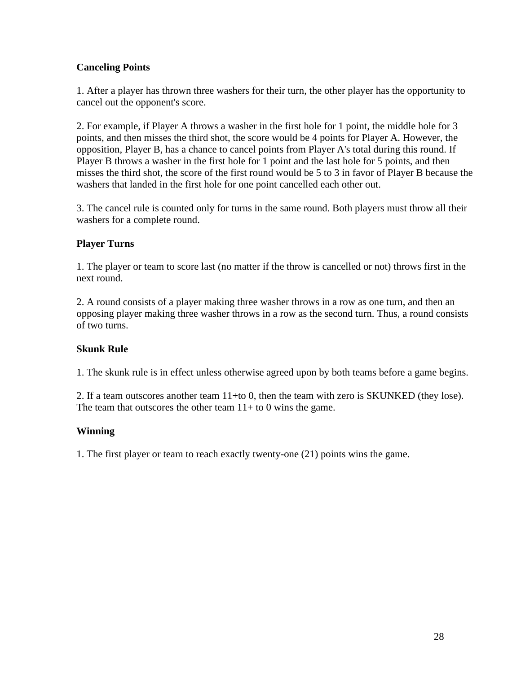### **Canceling Points**

1. After a player has thrown three washers for their turn, the other player has the opportunity to cancel out the opponent's score.

2. For example, if Player A throws a washer in the first hole for 1 point, the middle hole for 3 points, and then misses the third shot, the score would be 4 points for Player A. However, the opposition, Player B, has a chance to cancel points from Player A's total during this round. If Player B throws a washer in the first hole for 1 point and the last hole for 5 points, and then misses the third shot, the score of the first round would be 5 to 3 in favor of Player B because the washers that landed in the first hole for one point cancelled each other out.

3. The cancel rule is counted only for turns in the same round. Both players must throw all their washers for a complete round.

### **Player Turns**

1. The player or team to score last (no matter if the throw is cancelled or not) throws first in the next round.

2. A round consists of a player making three washer throws in a row as one turn, and then an opposing player making three washer throws in a row as the second turn. Thus, a round consists of two turns.

### **Skunk Rule**

1. The skunk rule is in effect unless otherwise agreed upon by both teams before a game begins.

2. If a team outscores another team 11+to 0, then the team with zero is SKUNKED (they lose). The team that outscores the other team  $11+$  to 0 wins the game.

### **Winning**

1. The first player or team to reach exactly twenty-one (21) points wins the game.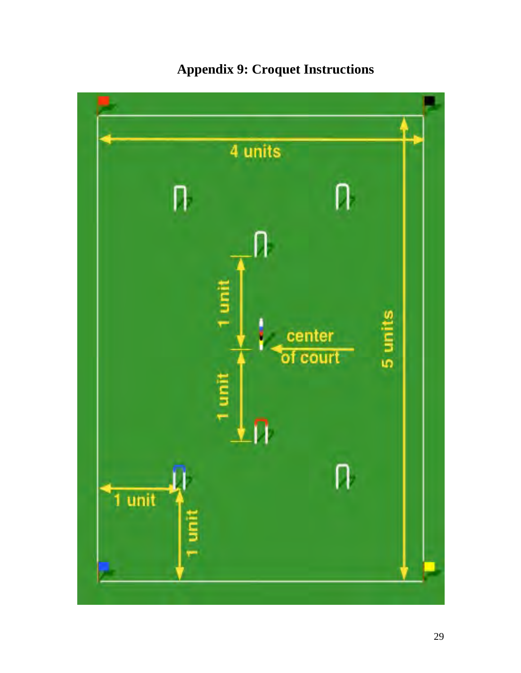

# **Appendix 9: Croquet Instructions**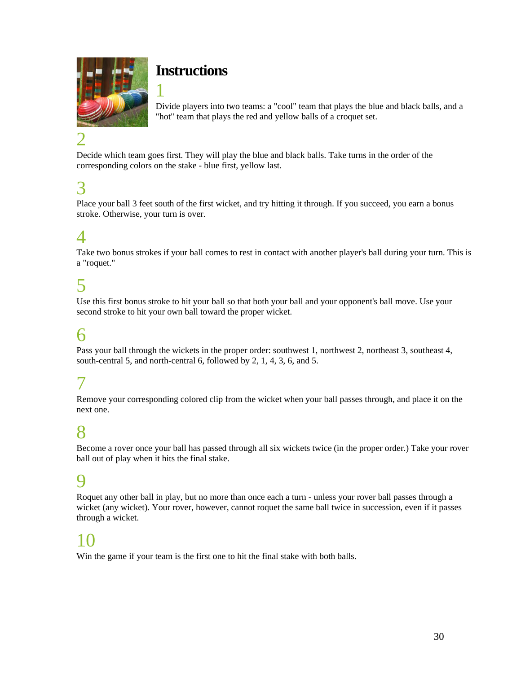

## **Instructions**

1

Divide players into two teams: a "cool" team that plays the blue and black balls, and a "hot" team that plays the red and yellow balls of a croquet set.

# 2

Decide which team goes first. They will play the blue and black balls. Take turns in the order of the corresponding colors on the stake - blue first, yellow last.

## 3

Place your ball 3 feet south of the first wicket, and try hitting it through. If you succeed, you earn a bonus stroke. Otherwise, your turn is over.

## 4

Take two bonus strokes if your ball comes to rest in contact with another player's ball during your turn. This is a "roquet."

## 5

Use this first bonus stroke to hit your ball so that both your ball and your opponent's ball move. Use your second stroke to hit your own ball toward the proper wicket.

## 6

Pass your ball through the wickets in the proper order: southwest 1, northwest 2, northeast 3, southeast 4, south-central 5, and north-central 6, followed by 2, 1, 4, 3, 6, and 5.

## 7

Remove your corresponding colored clip from the wicket when your ball passes through, and place it on the next one.

## 8

Become a rover once your ball has passed through all six wickets twice (in the proper order.) Take your rover ball out of play when it hits the final stake.

## 9

Roquet any other ball in play, but no more than once each a turn - unless your rover ball passes through a wicket (any wicket). Your rover, however, cannot roquet the same ball twice in succession, even if it passes through a wicket.

## 10

Win the game if your team is the first one to hit the final stake with both balls.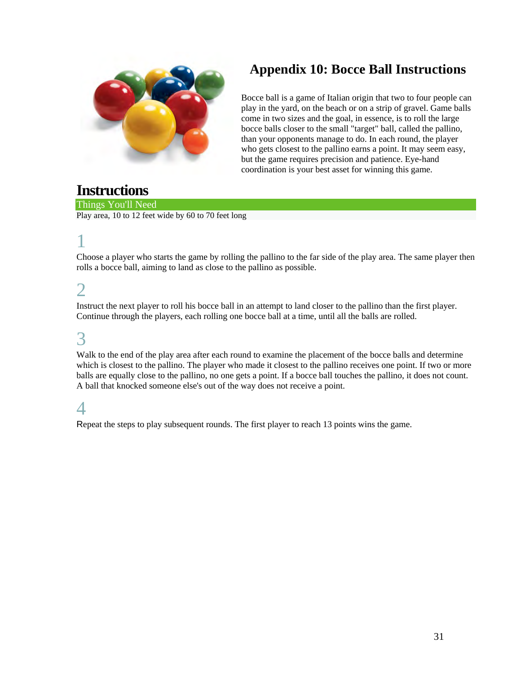![](_page_30_Picture_0.jpeg)

## **Appendix 10: Bocce Ball Instructions**

Bocce ball is a game of Italian origin that two to four people can play in the yard, on the beach or on a strip of gravel. Game balls come in two sizes and the goal, in essence, is to roll the large bocce balls closer to the small "target" ball, called the pallino, than your opponents manage to do. In each round, the player who gets closest to the pallino earns a point. It may seem easy, but the game requires precision and patience. Eye-hand coordination is your best asset for winning this game.

## **Instructions**

Things You'll Need Play area, 10 to 12 feet wide by 60 to 70 feet long

# 1

Choose a player who starts the game by rolling the pallino to the far side of the play area. The same player then rolls a bocce ball, aiming to land as close to the pallino as possible.

## 2

Instruct the next player to roll his bocce ball in an attempt to land closer to the pallino than the first player. Continue through the players, each rolling one bocce ball at a time, until all the balls are rolled.

## 3

Walk to the end of the play area after each round to examine the placement of the bocce balls and determine which is closest to the pallino. The player who made it closest to the pallino receives one point. If two or more balls are equally close to the pallino, no one gets a point. If a bocce ball touches the pallino, it does not count. A ball that knocked someone else's out of the way does not receive a point.

## 4

Repeat the steps to play subsequent rounds. The first player to reach 13 points wins the game.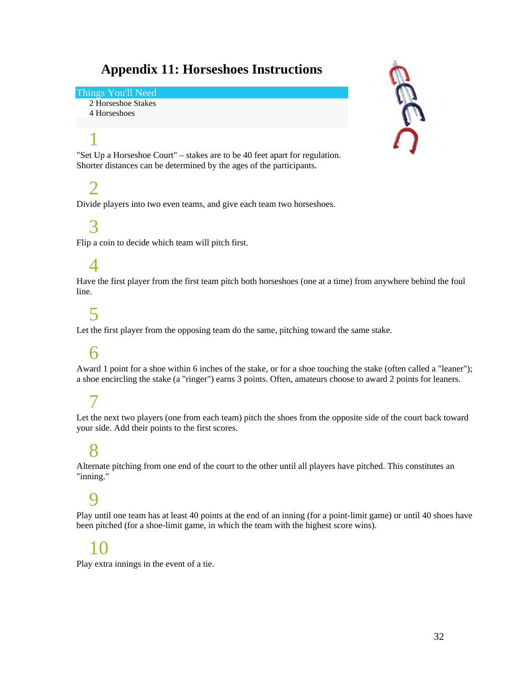## **Appendix 11: Horseshoes Instructions**

### Things You'll Need

2 Horseshoe Stakes 4 Horseshoes

# 1

"Set Up a Horseshoe Court" – stakes are to be 40 feet apart for regulation. Shorter distances can be determined by the ages of the participants.

## $\mathcal{D}$

Divide players into two even teams, and give each team two horseshoes.

## 3

Flip a coin to decide which team will pitch first.

## $\varDelta$

Have the first player from the first team pitch both horseshoes (one at a time) from anywhere behind the foul line.

## 5

Let the first player from the opposing team do the same, pitching toward the same stake.

## 6

Award 1 point for a shoe within 6 inches of the stake, or for a shoe touching the stake (often called a "leaner"); a shoe encircling the stake (a "ringer") earns 3 points. Often, amateurs choose to award 2 points for leaners.

## 7

Let the next two players (one from each team) pitch the shoes from the opposite side of the court back toward your side. Add their points to the first scores.

## 8

Alternate pitching from one end of the court to the other until all players have pitched. This constitutes an "inning."

## 9

Play until one team has at least 40 points at the end of an inning (for a point-limit game) or until 40 shoes have been pitched (for a shoe-limit game, in which the team with the highest score wins).

## 10

Play extra innings in the event of a tie.

![](_page_31_Picture_23.jpeg)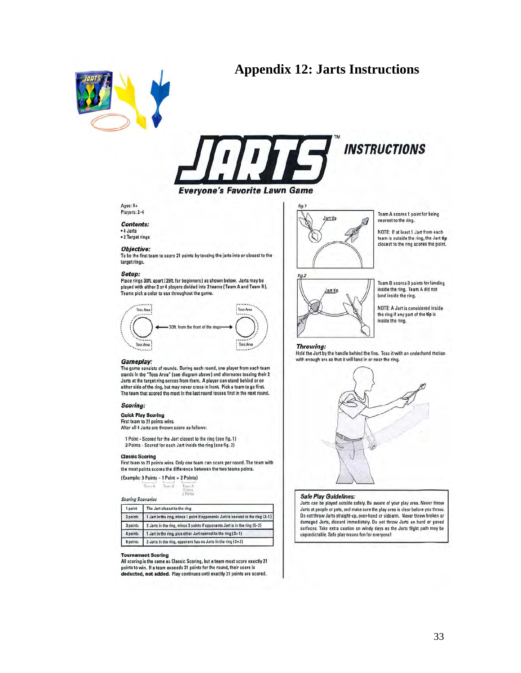## **Appendix 12: Jarts Instructions**

![](_page_32_Picture_1.jpeg)

![](_page_32_Picture_2.jpeg)

 $Ans: 8+$ Players: 2-4

### **Contents:**

• 4 Jarts<br>• 2 Target rings

### Objective:

To be the first team to score 21 points by tossing the jarts into or closest to the target rings.

#### Setup:

Place rings 30ft, apart (25ft, for beginners) as shown below. Jarts may be played with either 2 or 4 players divided into 2 teams (Team A and Team B). Teams pick a color to use throughout the game.

![](_page_32_Picture_11.jpeg)

#### Gameplay:

The game consists of rounds. During each round, one player from each team stands in the "Toss Area" (see diagram above) and alternates tossing their 2 Jarts at the target ring across from them. A player can stand behind or on either side of the ring, but may never cross in front. Pick a team to go first. The team that scored the most in the last round tosses first in the next round.

#### **Scoring:**

**Quick Play Scoring** 

First team to 21 points wins.

After all 4 Jarts are thrown score as follows:

1 Point - Scored for the Jart closest to the ring (see fig. 1) 3 Points - Scored for each Jart inside the ring (see fig. 2)

#### **Classic Scoring**

First team to 21 points wins. Only one team can score per round. The team with the most points scores the difference between the two teams points.

(Example: 3 Points - 1 Point = 2 Points)

Tours B Teres A. Tuan A<br>Scores<br>2 Points

**Scoring Scenarios** 

| point    | The Jart closest to the ring                                                     |
|----------|----------------------------------------------------------------------------------|
| 2 points | 1 Jart in the ring, minus 1 point if opponents Jart is nearest to the ring (3-1) |
| 3 points | 2 Jarts in the ring, minus 3 points if opponents Jart is in the ring (6-3)       |
| 4 points | 1 Jart in the ring, plus other Jart nearest to the ring (3+1)                    |
| 6 points | 2 Jarts in the ring, opponent has no Jarts in the ring $(3+3)$                   |

#### **Tournament Scoring**

All scoring is the same as Classic Scoring, but a team must score exactly 21 points to win. If a team exceeds 21 points for the round, their score is deducted, not added. Play continues until exactly 21 points are scored.

![](_page_32_Picture_27.jpeg)

Team A scores 1 point for being nearest to the ring.

NOTE: If at least 1 Jart from each team is outside the ring, the Jart tip closest to the ring scores the point.

![](_page_32_Picture_30.jpeg)

Team B scores 3 points for landing inside the ring. Team A did not land inside the ring.

NOTE: A Jart is considered inside the ring if any part of the tip is inside the ring.

#### **Throwing:**

Hold the Jart by the handle behind the fins. Toss it with an underhand motion with enough arc so that it will land in or near the ring.

![](_page_32_Figure_35.jpeg)

#### **Safe Play Guidelines:**

Jarts can be played outside safely. Be aware of your play area. Never throw Jarts at people or pets, and make sure the play area is clear before you throw. Do not throw Jarts straight-up, over-hand or sidearm. Never throw broken or damaged Jarts, discard immediately. Do not throw Jarts on hard or paved<br>surfaces. Take extra caution on windy days as the Jarts flight path may be unpredictable. Safe play means fun for everyone!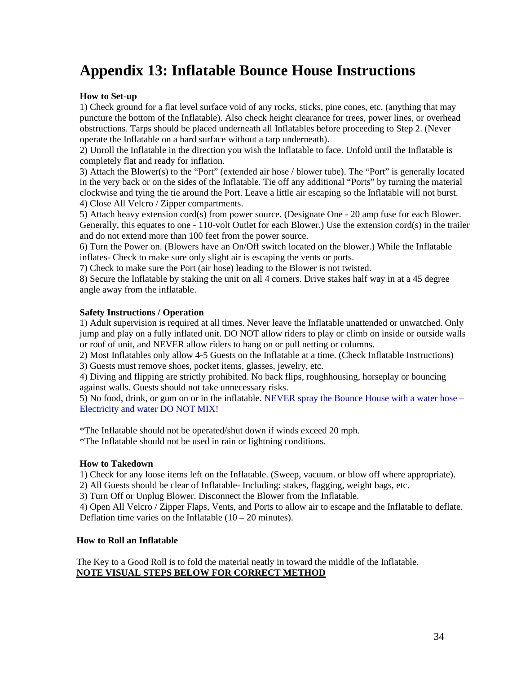## **Appendix 13: Inflatable Bounce House Instructions**

### **How to Set-up**

1) Check ground for a flat level surface void of any rocks, sticks, pine cones, etc. (anything that may puncture the bottom of the Inflatable). Also check height clearance for trees, power lines, or overhead obstructions. Tarps should be placed underneath all Inflatables before proceeding to Step 2. (Never operate the Inflatable on a hard surface without a tarp underneath).

2) Unroll the Inflatable in the direction you wish the Inflatable to face. Unfold until the Inflatable is completely flat and ready for inflation.

3) Attach the Blower(s) to the "Port" (extended air hose / blower tube). The "Port" is generally located in the very back or on the sides of the Inflatable. Tie off any additional "Ports" by turning the material clockwise and tying the tie around the Port. Leave a little air escaping so the Inflatable will not burst. 4) Close All Velcro / Zipper compartments.

5) Attach heavy extension cord(s) from power source. (Designate One - 20 amp fuse for each Blower. Generally, this equates to one - 110-volt Outlet for each Blower.) Use the extension cord(s) in the trailer and do not extend more than 100 feet from the power source.

6) Turn the Power on. (Blowers have an On/Off switch located on the blower.) While the Inflatable inflates- Check to make sure only slight air is escaping the vents or ports.

7) Check to make sure the Port (air hose) leading to the Blower is not twisted.

8) Secure the Inflatable by staking the unit on all 4 corners. Drive stakes half way in at a 45 degree angle away from the inflatable.

### **Safety Instructions / Operation**

1) Adult supervision is required at all times. Never leave the Inflatable unattended or unwatched. Only jump and play on a fully inflated unit. DO NOT allow riders to play or climb on inside or outside walls or roof of unit, and NEVER allow riders to hang on or pull netting or columns.

2) Most Inflatables only allow 4-5 Guests on the Inflatable at a time. (Check Inflatable Instructions) 3) Guests must remove shoes, pocket items, glasses, jewelry, etc.

4) Diving and flipping are strictly prohibited. No back flips, roughhousing, horseplay or bouncing against walls. Guests should not take unnecessary risks.

5) No food, drink, or gum on or in the inflatable. NEVER spray the Bounce House with a water hose – Electricity and water DO NOT MIX!

\*The Inflatable should not be operated/shut down if winds exceed 20 mph.

\*The Inflatable should not be used in rain or lightning conditions.

### **How to Takedown**

1) Check for any loose items left on the Inflatable. (Sweep, vacuum. or blow off where appropriate).

2) All Guests should be clear of Inflatable- Including: stakes, flagging, weight bags, etc.

3) Turn Off or Unplug Blower. Disconnect the Blower from the Inflatable.

4) Open All Velcro / Zipper Flaps, Vents, and Ports to allow air to escape and the Inflatable to deflate. Deflation time varies on the Inflatable  $(10 - 20 \text{ minutes})$ .

### **How to Roll an Inflatable**

The Key to a Good Roll is to fold the material neatly in toward the middle of the Inflatable. **NOTE VISUAL STEPS BELOW FOR CORRECT METHOD**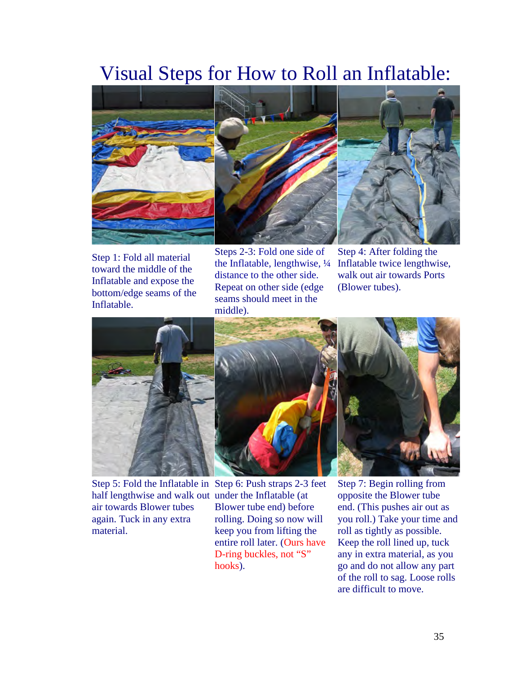# Visual Steps for How to Roll an Inflatable:

![](_page_34_Picture_1.jpeg)

Step 1: Fold all material toward the middle of the Inflatable and expose the bottom/edge seams of the Inflatable.

Steps 2-3: Fold one side of the Inflatable, lengthwise, ¼ distance to the other side. Repeat on other side (edge seams should meet in the middle).

Step 4: After folding the Inflatable twice lengthwise, walk out air towards Ports (Blower tubes).

![](_page_34_Picture_5.jpeg)

half lengthwise and walk out under the Inflatable (at air towards Blower tubes again. Tuck in any extra material.

![](_page_34_Picture_7.jpeg)

Step 7: Begin rolling from opposite the Blower tube end. (This pushes air out as you roll.) Take your time and roll as tightly as possible. Keep the roll lined up, tuck any in extra material, as you go and do not allow any part of the roll to sag. Loose rolls are difficult to move.

![](_page_34_Picture_9.jpeg)